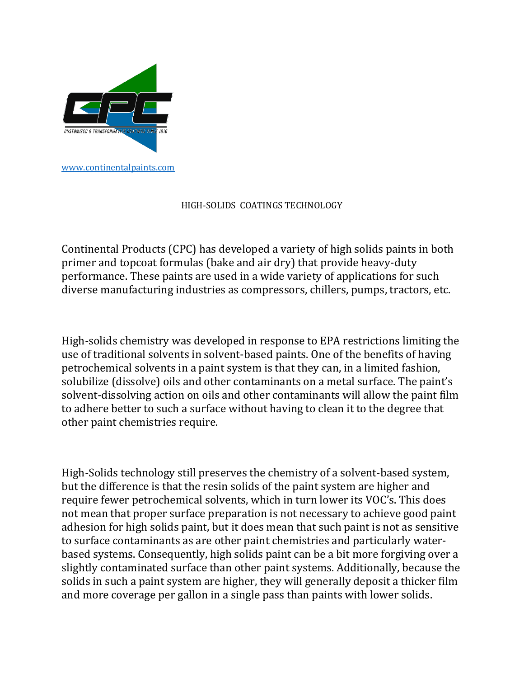

## HIGH-SOLIDS COATINGS TECHNOLOGY

Continental Products (CPC) has developed a variety of high solids paints in both primer and topcoat formulas (bake and air dry) that provide heavy-duty performance. These paints are used in a wide variety of applications for such diverse manufacturing industries as compressors, chillers, pumps, tractors, etc.

High-solids chemistry was developed in response to EPA restrictions limiting the use of traditional solvents in solvent-based paints. One of the benefits of having petrochemical solvents in a paint system is that they can, in a limited fashion, solubilize (dissolve) oils and other contaminants on a metal surface. The paint's solvent-dissolving action on oils and other contaminants will allow the paint film to adhere better to such a surface without having to clean it to the degree that other paint chemistries require.

High-Solids technology still preserves the chemistry of a solvent-based system, but the difference is that the resin solids of the paint system are higher and require fewer petrochemical solvents, which in turn lower its VOC's. This does not mean that proper surface preparation is not necessary to achieve good paint adhesion for high solids paint, but it does mean that such paint is not as sensitive to surface contaminants as are other paint chemistries and particularly waterbased systems. Consequently, high solids paint can be a bit more forgiving over a slightly contaminated surface than other paint systems. Additionally, because the solids in such a paint system are higher, they will generally deposit a thicker film and more coverage per gallon in a single pass than paints with lower solids.